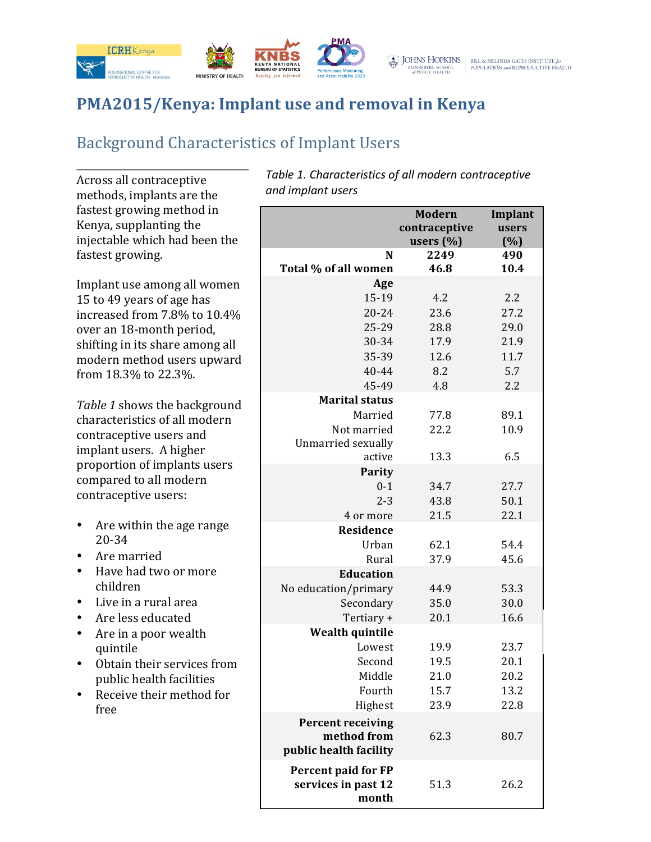

# **PMA2015/Kenya: Implant use and removal in Kenya**

## Background Characteristics of Implant Users

Across all contraceptive methods, implants are the fastest growing method in Kenya, supplanting the injectable which had been the fastest growing.

Implant use among all women 15 to 49 years of age has increased from 7.8% to 10.4% over an 18-month period, shifting in its share among all modern method users upward from 18.3% to 22.3%. 

Table 1 shows the background characteristics of all modern contraceptive users and implant users. A higher proportion of implants users compared to all modern contraceptive users:

- Are within the age range 20-34
- Are married
- Have had two or more children
- Live in a rural area
- Are less educated
- Are in a poor wealth quintile
- Obtain their services from public health facilities
- Receive their method for free

Table 1. Characteristics of all modern contraceptive *and implant users*

|                                                                   | <b>Modern</b><br>contraceptive<br>users $(\% )$ | Implant<br>users<br>(%) |
|-------------------------------------------------------------------|-------------------------------------------------|-------------------------|
| N<br>Total % of all women                                         | 2249<br>46.8                                    | 490<br>10.4             |
| Age                                                               |                                                 |                         |
| 15-19                                                             | 4.2                                             | 2.2                     |
| $20 - 24$                                                         | 23.6                                            | 27.2                    |
| 25-29                                                             | 28.8                                            | 29.0                    |
| 30-34                                                             | 17.9                                            | 21.9                    |
| 35-39                                                             | 12.6                                            | 11.7                    |
| 40-44                                                             | 8.2                                             | 5.7                     |
| 45-49                                                             | 4.8                                             | 2.2                     |
| <b>Marital status</b>                                             |                                                 |                         |
| Married                                                           | 77.8                                            | 89.1                    |
| Not married                                                       | 22.2                                            | 10.9                    |
| Unmarried sexually                                                |                                                 |                         |
| active                                                            | 13.3                                            | 6.5                     |
| Parity<br>$0 - 1$                                                 | 34.7                                            | 27.7                    |
| $2 - 3$                                                           | 43.8                                            | 50.1                    |
| 4 or more                                                         | 21.5                                            | 22.1                    |
| <b>Residence</b>                                                  |                                                 |                         |
| Urban                                                             | 62.1                                            | 54.4                    |
| Rural                                                             | 37.9                                            | 45.6                    |
| <b>Education</b>                                                  |                                                 |                         |
| No education/primary                                              | 44.9                                            | 53.3                    |
| Secondary                                                         | 35.0                                            | 30.0                    |
| Tertiary +                                                        | 20.1                                            | 16.6                    |
| <b>Wealth quintile</b>                                            |                                                 |                         |
| Lowest                                                            | 19.9                                            | 23.7                    |
| Second                                                            | 19.5                                            | 20.1                    |
| Middle                                                            | 21.0                                            | 20.2                    |
| Fourth                                                            | 15.7                                            | 13.2                    |
| Highest                                                           | 23.9                                            | 22.8                    |
| <b>Percent receiving</b><br>method from<br>public health facility | 62.3                                            | 80.7                    |
| Percent paid for FP<br>services in past 12<br>month               | 51.3                                            | 26.2                    |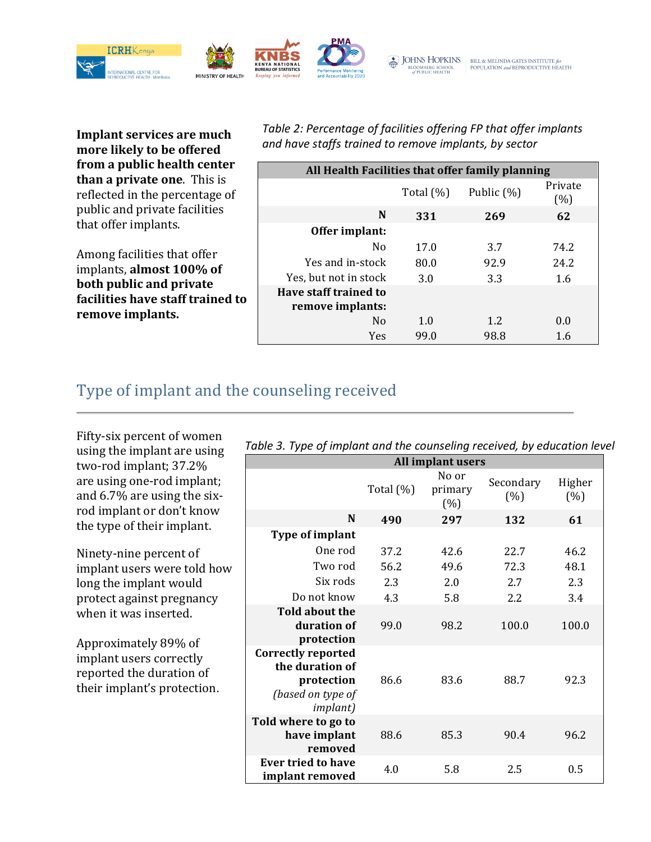

**Implant services are much** more likely to be offered from a public health center **than a private one.** This is reflected in the percentage of public and private facilities that offer implants.

Among facilities that offer implants, almost 100% of **both public and private facilities have staff trained to** remove implants.

Table 2: Percentage of facilities offering FP that offer *implants* and have staffs trained to remove implants, by sector

| All Health Facilities that offer family planning |              |            |                |  |
|--------------------------------------------------|--------------|------------|----------------|--|
|                                                  | Total $(\%)$ | Public (%) | Private<br>(%) |  |
| N                                                | 331          | 269        | 62             |  |
| Offer implant:                                   |              |            |                |  |
| No                                               | 17.0         | 3.7        | 74.2           |  |
| Yes and in-stock                                 | 80.0         | 92.9       | 24.2           |  |
| Yes, but not in stock                            | 3.0          | 3.3        | 1.6            |  |
| Have staff trained to<br>remove implants:        |              |            |                |  |
| N <sub>0</sub>                                   | 1.0          | 1.2        | 0.0            |  |
| Yes                                              | 99.0         | 98.8       | 1.6            |  |

### Type of implant and the counseling received

Fifty-six percent of women using the implant are using two-rod implant; 37.2% are using one-rod implant; and 6.7% are using the sixrod implant or don't know the type of their implant.

Ninety-nine percent of implant users were told how long the implant would protect against pregnancy when it was inserted.

Approximately 89% of implant users correctly reported the duration of their implant's protection.

| All implant users                                                                                   |              |                          |                  |               |
|-----------------------------------------------------------------------------------------------------|--------------|--------------------------|------------------|---------------|
|                                                                                                     | Total $(\%)$ | No or<br>primary<br>(% ) | Secondary<br>(%) | Higher<br>(%) |
| N                                                                                                   | 490          | 297                      | 132              | 61            |
| Type of implant                                                                                     |              |                          |                  |               |
| One rod                                                                                             | 37.2         | 42.6                     | 22.7             | 46.2          |
| Two rod                                                                                             | 56.2         | 49.6                     | 72.3             | 48.1          |
| Six rods                                                                                            | 2.3          | 2.0                      | 2.7              | 2.3           |
| Do not know                                                                                         | 4.3          | 5.8                      | 2.2              | 3.4           |
| <b>Told about the</b><br>duration of<br>protection                                                  | 99.0         | 98.2                     | 100.0            | 100.0         |
| <b>Correctly reported</b><br>the duration of<br>protection<br>(based on type of<br><i>implant</i> ) | 86.6         | 83.6                     | 88.7             | 92.3          |
| Told where to go to<br>have implant<br>removed                                                      | 88.6         | 85.3                     | 90.4             | 96.2          |
| <b>Ever tried to have</b><br>implant removed                                                        | 4.0          | 5.8                      | 2.5              | 0.5           |

| Table 3. Type of implant and the counseling received, by education level |  |  |  |
|--------------------------------------------------------------------------|--|--|--|
|                                                                          |  |  |  |